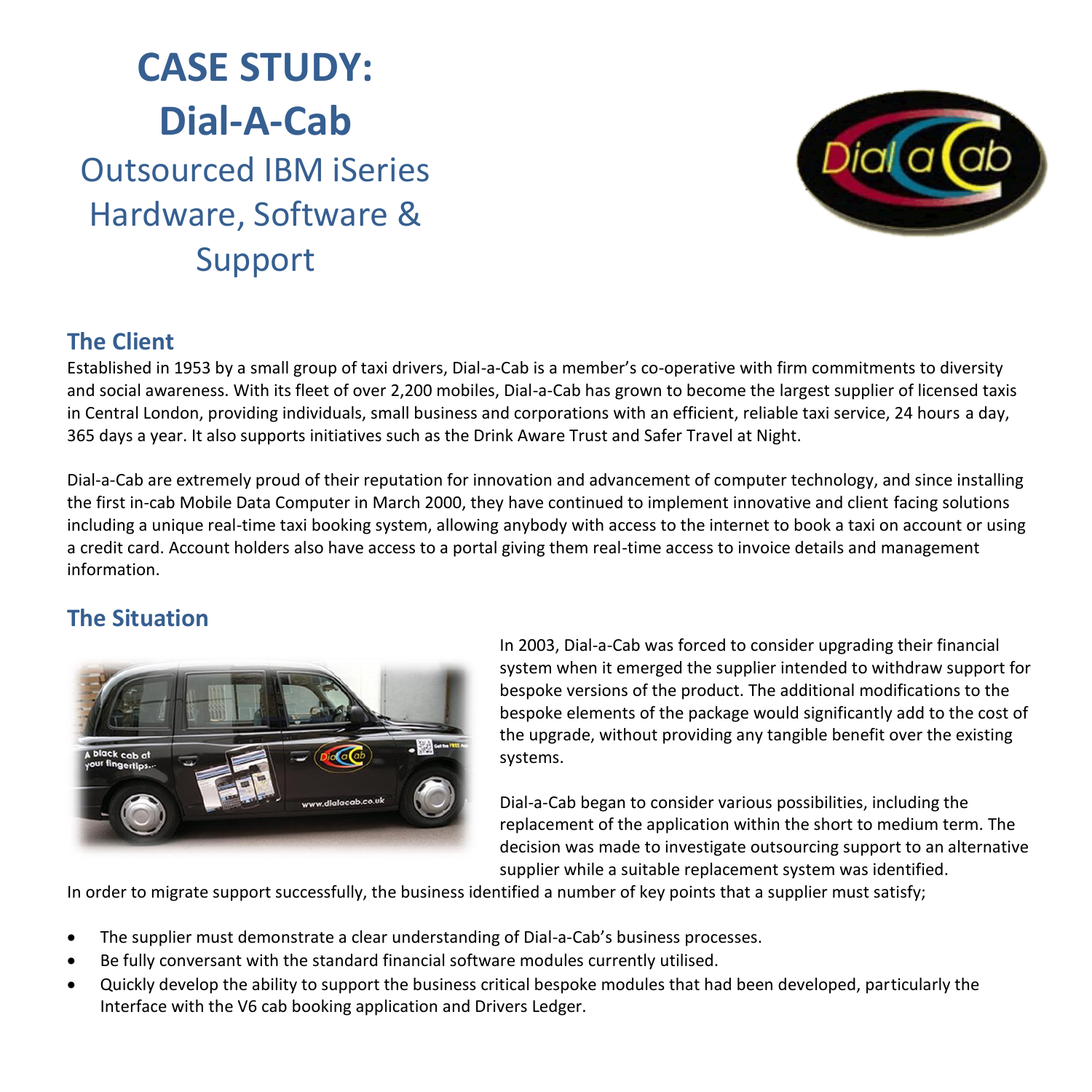



## **The Client**

Established in 1953 by a small group of taxi drivers, Dial-a-Cab is a member's co-operative with firm commitments to diversity and social awareness. With its fleet of over 2,200 mobiles, Dial-a-Cab has grown to become the largest supplier of licensed taxis in Central London, providing individuals, small business and corporations with an efficient, reliable taxi service, 24 hours a day, 365 days a year. It also supports initiatives such as the Drink Aware Trust and Safer Travel at Night.

Dial-a-Cab are extremely proud of their reputation for innovation and advancement of computer technology, and since installing the first in-cab Mobile Data Computer in March 2000, they have continued to implement innovative and client facing solutions including a unique real-time taxi booking system, allowing anybody with access to the internet to book a taxi on account or using a credit card. Account holders also have access to a portal giving them real-time access to invoice details and management information.

## **The Situation**



In 2003, Dial-a-Cab was forced to consider upgrading their financial system when it emerged the supplier intended to withdraw support for bespoke versions of the product. The additional modifications to the bespoke elements of the package would significantly add to the cost of the upgrade, without providing any tangible benefit over the existing systems.

Dial-a-Cab began to consider various possibilities, including the replacement of the application within the short to medium term. The decision was made to investigate outsourcing support to an alternative supplier while a suitable replacement system was identified.

In order to migrate support successfully, the business identified a number of key points that a supplier must satisfy;

- The supplier must demonstrate a clear understanding of Dial-a-Cab's business processes.
- Be fully conversant with the standard financial software modules currently utilised.
- Quickly develop the ability to support the business critical bespoke modules that had been developed, particularly the Interface with the V6 cab booking application and Drivers Ledger.